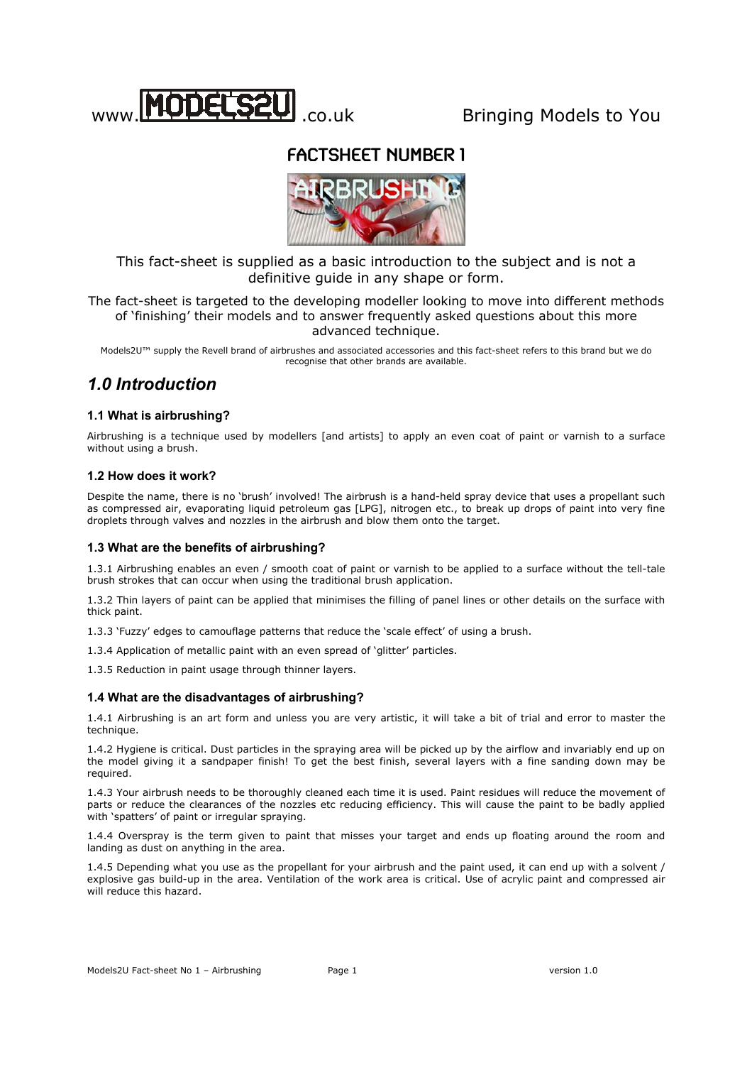

# www. .co.uk Bringing Models to You

# FACTSHEET NUMBER 1



This fact-sheet is supplied as a basic introduction to the subject and is not a definitive guide in any shape or form.

The fact-sheet is targeted to the developing modeller looking to move into different methods of 'finishing' their models and to answer frequently asked questions about this more advanced technique.

Models2U™ supply the Revell brand of airbrushes and associated accessories and this fact-sheet refers to this brand but we do recognise that other brands are available.

# *1.0 Introduction*

## **1.1 What is airbrushing?**

Airbrushing is a technique used by modellers [and artists] to apply an even coat of paint or varnish to a surface without using a brush.

## **1.2 How does it work?**

Despite the name, there is no 'brush' involved! The airbrush is a hand-held spray device that uses a propellant such as compressed air, evaporating liquid petroleum gas [LPG], nitrogen etc., to break up drops of paint into very fine droplets through valves and nozzles in the airbrush and blow them onto the target.

## **1.3 What are the benefits of airbrushing?**

1.3.1 Airbrushing enables an even / smooth coat of paint or varnish to be applied to a surface without the tell-tale brush strokes that can occur when using the traditional brush application.

1.3.2 Thin layers of paint can be applied that minimises the filling of panel lines or other details on the surface with thick paint.

1.3.3 'Fuzzy' edges to camouflage patterns that reduce the 'scale effect' of using a brush.

1.3.4 Application of metallic paint with an even spread of 'glitter' particles.

1.3.5 Reduction in paint usage through thinner layers.

## **1.4 What are the disadvantages of airbrushing?**

1.4.1 Airbrushing is an art form and unless you are very artistic, it will take a bit of trial and error to master the technique.

1.4.2 Hygiene is critical. Dust particles in the spraying area will be picked up by the airflow and invariably end up on the model giving it a sandpaper finish! To get the best finish, several layers with a fine sanding down may be required.

1.4.3 Your airbrush needs to be thoroughly cleaned each time it is used. Paint residues will reduce the movement of parts or reduce the clearances of the nozzles etc reducing efficiency. This will cause the paint to be badly applied with 'spatters' of paint or irregular spraying.

1.4.4 Overspray is the term given to paint that misses your target and ends up floating around the room and landing as dust on anything in the area.

1.4.5 Depending what you use as the propellant for your airbrush and the paint used, it can end up with a solvent / explosive gas build-up in the area. Ventilation of the work area is critical. Use of acrylic paint and compressed air will reduce this hazard.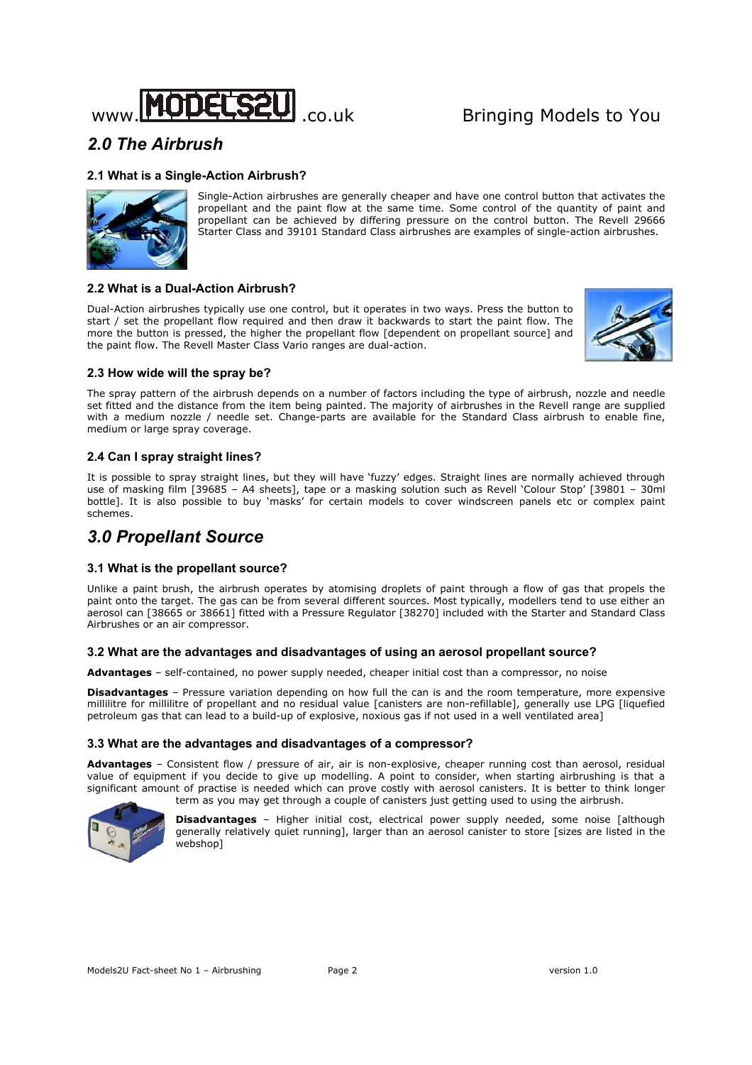

# *2.0 The Airbrush*

## **2.1 What is a Single-Action Airbrush?**



Single-Action airbrushes are generally cheaper and have one control button that activates the propellant and the paint flow at the same time. Some control of the quantity of paint and propellant can be achieved by differing pressure on the control button. The Revell 29666 Starter Class and 39101 Standard Class airbrushes are examples of single-action airbrushes.

## **2.2 What is a Dual-Action Airbrush?**

Dual-Action airbrushes typically use one control, but it operates in two ways. Press the button to start / set the propellant flow required and then draw it backwards to start the paint flow. The more the button is pressed, the higher the propellant flow [dependent on propellant source] and the paint flow. The Revell Master Class Vario ranges are dual-action.



## **2.3 How wide will the spray be?**

The spray pattern of the airbrush depends on a number of factors including the type of airbrush, nozzle and needle set fitted and the distance from the item being painted. The majority of airbrushes in the Revell range are supplied with a medium nozzle / needle set. Change-parts are available for the Standard Class airbrush to enable fine, medium or large spray coverage.

## **2.4 Can I spray straight lines?**

It is possible to spray straight lines, but they will have 'fuzzy' edges. Straight lines are normally achieved through use of masking film [39685 – A4 sheets], tape or a masking solution such as Revell 'Colour Stop' [39801 – 30ml bottle]. It is also possible to buy 'masks' for certain models to cover windscreen panels etc or complex paint schemes.

## *3.0 Propellant Source*

## **3.1 What is the propellant source?**

Unlike a paint brush, the airbrush operates by atomising droplets of paint through a flow of gas that propels the paint onto the target. The gas can be from several different sources. Most typically, modellers tend to use either an aerosol can [38665 or 38661] fitted with a Pressure Regulator [38270] included with the Starter and Standard Class Airbrushes or an air compressor.

## **3.2 What are the advantages and disadvantages of using an aerosol propellant source?**

**Advantages** – self-contained, no power supply needed, cheaper initial cost than a compressor, no noise

**Disadvantages** – Pressure variation depending on how full the can is and the room temperature, more expensive millilitre for millilitre of propellant and no residual value [canisters are non-refillable], generally use LPG [liquefied petroleum gas that can lead to a build-up of explosive, noxious gas if not used in a well ventilated area]

## **3.3 What are the advantages and disadvantages of a compressor?**

**Advantages** – Consistent flow / pressure of air, air is non-explosive, cheaper running cost than aerosol, residual value of equipment if you decide to give up modelling. A point to consider, when starting airbrushing is that a significant amount of practise is needed which can prove costly with aerosol canisters. It is better to think longer term as you may get through a couple of canisters just getting used to using the airbrush.



**Disadvantages** – Higher initial cost, electrical power supply needed, some noise [although generally relatively quiet running], larger than an aerosol canister to store [sizes are listed in the webshop]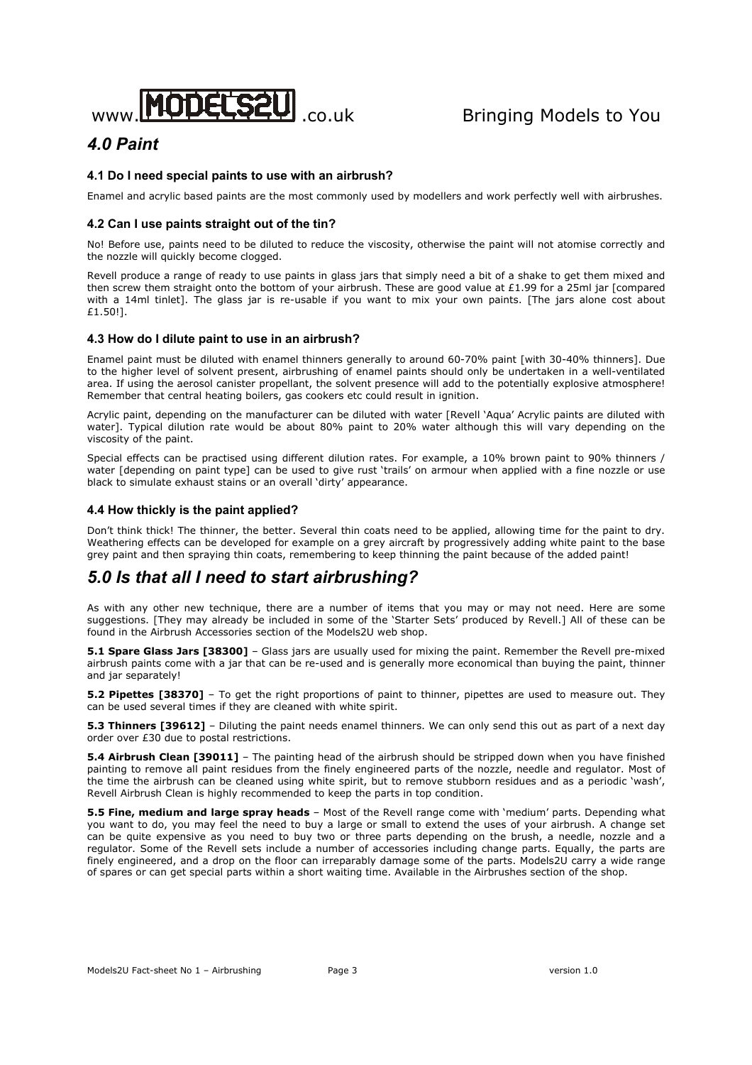

# *4.0 Paint*

## **4.1 Do I need special paints to use with an airbrush?**

Enamel and acrylic based paints are the most commonly used by modellers and work perfectly well with airbrushes.

## **4.2 Can I use paints straight out of the tin?**

No! Before use, paints need to be diluted to reduce the viscosity, otherwise the paint will not atomise correctly and the nozzle will quickly become clogged.

Revell produce a range of ready to use paints in glass jars that simply need a bit of a shake to get them mixed and then screw them straight onto the bottom of your airbrush. These are good value at £1.99 for a 25ml jar [compared with a 14ml tinlet]. The glass jar is re-usable if you want to mix your own paints. [The jars alone cost about £1.50!].

## **4.3 How do I dilute paint to use in an airbrush?**

Enamel paint must be diluted with enamel thinners generally to around 60-70% paint [with 30-40% thinners]. Due to the higher level of solvent present, airbrushing of enamel paints should only be undertaken in a well-ventilated area. If using the aerosol canister propellant, the solvent presence will add to the potentially explosive atmosphere! Remember that central heating boilers, gas cookers etc could result in ignition.

Acrylic paint, depending on the manufacturer can be diluted with water [Revell 'Aqua' Acrylic paints are diluted with water]. Typical dilution rate would be about 80% paint to 20% water although this will vary depending on the viscosity of the paint.

Special effects can be practised using different dilution rates. For example, a 10% brown paint to 90% thinners / water [depending on paint type] can be used to give rust 'trails' on armour when applied with a fine nozzle or use black to simulate exhaust stains or an overall 'dirty' appearance.

## **4.4 How thickly is the paint applied?**

Don't think thick! The thinner, the better. Several thin coats need to be applied, allowing time for the paint to dry. Weathering effects can be developed for example on a grey aircraft by progressively adding white paint to the base grey paint and then spraying thin coats, remembering to keep thinning the paint because of the added paint!

## *5.0 Is that all I need to start airbrushing?*

As with any other new technique, there are a number of items that you may or may not need. Here are some suggestions. [They may already be included in some of the 'Starter Sets' produced by Revell.] All of these can be found in the Airbrush Accessories section of the Models2U web shop.

**5.1 Spare Glass Jars [38300]** – Glass jars are usually used for mixing the paint. Remember the Revell pre-mixed airbrush paints come with a jar that can be re-used and is generally more economical than buying the paint, thinner and jar separately!

**5.2 Pipettes [38370]** – To get the right proportions of paint to thinner, pipettes are used to measure out. They can be used several times if they are cleaned with white spirit.

**5.3 Thinners [39612]** – Diluting the paint needs enamel thinners. We can only send this out as part of a next day order over £30 due to postal restrictions.

**5.4 Airbrush Clean [39011]** – The painting head of the airbrush should be stripped down when you have finished painting to remove all paint residues from the finely engineered parts of the nozzle, needle and regulator. Most of the time the airbrush can be cleaned using white spirit, but to remove stubborn residues and as a periodic 'wash', Revell Airbrush Clean is highly recommended to keep the parts in top condition.

**5.5 Fine, medium and large spray heads** – Most of the Revell range come with 'medium' parts. Depending what you want to do, you may feel the need to buy a large or small to extend the uses of your airbrush. A change set can be quite expensive as you need to buy two or three parts depending on the brush, a needle, nozzle and a regulator. Some of the Revell sets include a number of accessories including change parts. Equally, the parts are finely engineered, and a drop on the floor can irreparably damage some of the parts. Models2U carry a wide range of spares or can get special parts within a short waiting time. Available in the Airbrushes section of the shop.